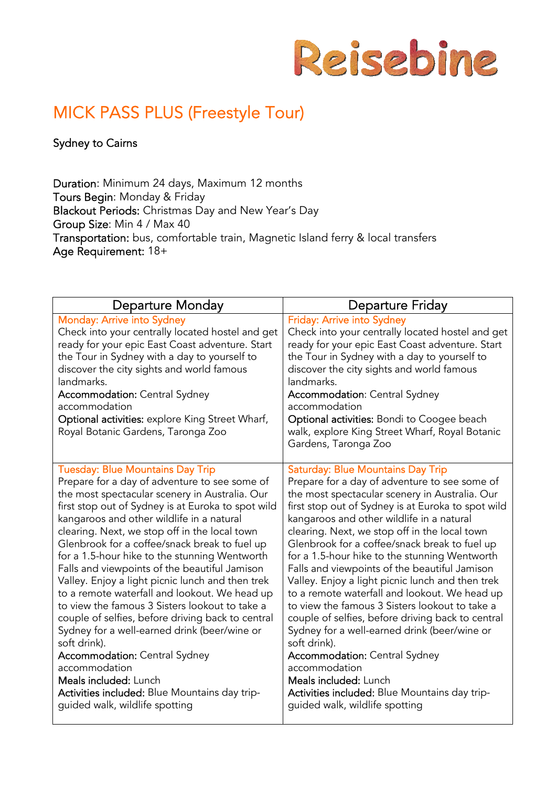

# MICK PASS PLUS (Freestyle Tour)

Sydney to Cairns

Duration: Minimum 24 days, Maximum 12 months Tours Begin: Monday & Friday Blackout Periods: Christmas Day and New Year's Day Group Size: Min 4 / Max 40 Transportation: bus, comfortable train, Magnetic Island ferry & local transfers Age Requirement: 18+

| <b>Departure Monday</b>                                                                                                                                                                                                                                                                                                                                                                                                                                                                                                                                                                                                                                                                                                                                                                                                                                                                                   | <b>Departure Friday</b>                                                                                                                                                                                                                                                                                                                                                                                                                                                                                                                                                                                                                                                                                                                                                                                                                                                                             |
|-----------------------------------------------------------------------------------------------------------------------------------------------------------------------------------------------------------------------------------------------------------------------------------------------------------------------------------------------------------------------------------------------------------------------------------------------------------------------------------------------------------------------------------------------------------------------------------------------------------------------------------------------------------------------------------------------------------------------------------------------------------------------------------------------------------------------------------------------------------------------------------------------------------|-----------------------------------------------------------------------------------------------------------------------------------------------------------------------------------------------------------------------------------------------------------------------------------------------------------------------------------------------------------------------------------------------------------------------------------------------------------------------------------------------------------------------------------------------------------------------------------------------------------------------------------------------------------------------------------------------------------------------------------------------------------------------------------------------------------------------------------------------------------------------------------------------------|
| <b>Monday: Arrive into Sydney</b><br>Check into your centrally located hostel and get<br>ready for your epic East Coast adventure. Start<br>the Tour in Sydney with a day to yourself to<br>discover the city sights and world famous<br>landmarks.<br><b>Accommodation: Central Sydney</b><br>accommodation<br>Optional activities: explore King Street Wharf,<br>Royal Botanic Gardens, Taronga Zoo                                                                                                                                                                                                                                                                                                                                                                                                                                                                                                     | <b>Friday: Arrive into Sydney</b><br>Check into your centrally located hostel and get<br>ready for your epic East Coast adventure. Start<br>the Tour in Sydney with a day to yourself to<br>discover the city sights and world famous<br>landmarks.<br><b>Accommodation: Central Sydney</b><br>accommodation<br><b>Optional activities:</b> Bondi to Coogee beach<br>walk, explore King Street Wharf, Royal Botanic<br>Gardens, Taronga Zoo                                                                                                                                                                                                                                                                                                                                                                                                                                                         |
| <b>Tuesday: Blue Mountains Day Trip</b><br>Prepare for a day of adventure to see some of<br>the most spectacular scenery in Australia. Our<br>first stop out of Sydney is at Euroka to spot wild<br>kangaroos and other wildlife in a natural<br>clearing. Next, we stop off in the local town<br>Glenbrook for a coffee/snack break to fuel up<br>for a 1.5-hour hike to the stunning Wentworth<br>Falls and viewpoints of the beautiful Jamison<br>Valley. Enjoy a light picnic lunch and then trek<br>to a remote waterfall and lookout. We head up<br>to view the famous 3 Sisters lookout to take a<br>couple of selfies, before driving back to central<br>Sydney for a well-earned drink (beer/wine or<br>soft drink).<br><b>Accommodation:</b> Central Sydney<br>accommodation<br><b>Meals included: Lunch</b><br>Activities included: Blue Mountains day trip-<br>guided walk, wildlife spotting | <b>Saturday: Blue Mountains Day Trip</b><br>Prepare for a day of adventure to see some of<br>the most spectacular scenery in Australia. Our<br>first stop out of Sydney is at Euroka to spot wild<br>kangaroos and other wildlife in a natural<br>clearing. Next, we stop off in the local town<br>Glenbrook for a coffee/snack break to fuel up<br>for a 1.5-hour hike to the stunning Wentworth<br>Falls and viewpoints of the beautiful Jamison<br>Valley. Enjoy a light picnic lunch and then trek<br>to a remote waterfall and lookout. We head up<br>to view the famous 3 Sisters lookout to take a<br>couple of selfies, before driving back to central<br>Sydney for a well-earned drink (beer/wine or<br>soft drink).<br><b>Accommodation:</b> Central Sydney<br>accommodation<br>Meals included: Lunch<br>Activities included: Blue Mountains day trip-<br>guided walk, wildlife spotting |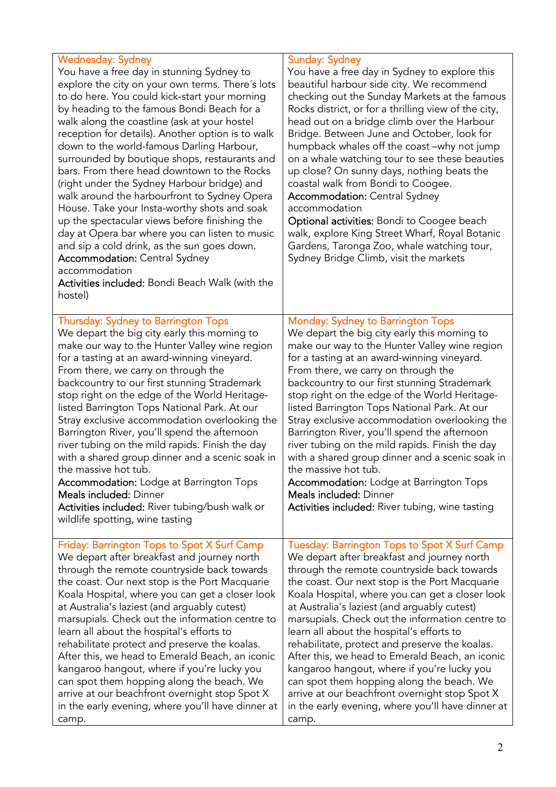| <b>Wednesday: Sydney</b><br>You have a free day in stunning Sydney to<br>explore the city on your own terms. There's lots<br>to do here. You could kick-start your morning<br>by heading to the famous Bondi Beach for a<br>walk along the coastline (ask at your hostel<br>reception for details). Another option is to walk<br>down to the world-famous Darling Harbour,<br>surrounded by boutique shops, restaurants and<br>bars. From there head downtown to the Rocks<br>(right under the Sydney Harbour bridge) and<br>walk around the harbourfront to Sydney Opera<br>House. Take your Insta-worthy shots and soak<br>up the spectacular views before finishing the<br>day at Opera bar where you can listen to music<br>and sip a cold drink, as the sun goes down.<br><b>Accommodation: Central Sydney</b><br>accommodation<br>Activities included: Bondi Beach Walk (with the<br>hostel) | <b>Sunday: Sydney</b><br>You have a free day in Sydney to explore this<br>beautiful harbour side city. We recommend<br>checking out the Sunday Markets at the famous<br>Rocks district, or for a thrilling view of the city,<br>head out on a bridge climb over the Harbour<br>Bridge. Between June and October, look for<br>humpback whales off the coast -why not jump<br>on a whale watching tour to see these beauties<br>up close? On sunny days, nothing beats the<br>coastal walk from Bondi to Coogee.<br><b>Accommodation: Central Sydney</b><br>accommodation<br>Optional activities: Bondi to Coogee beach<br>walk, explore King Street Wharf, Royal Botanic<br>Gardens, Taronga Zoo, whale watching tour,<br>Sydney Bridge Climb, visit the markets |
|----------------------------------------------------------------------------------------------------------------------------------------------------------------------------------------------------------------------------------------------------------------------------------------------------------------------------------------------------------------------------------------------------------------------------------------------------------------------------------------------------------------------------------------------------------------------------------------------------------------------------------------------------------------------------------------------------------------------------------------------------------------------------------------------------------------------------------------------------------------------------------------------------|-----------------------------------------------------------------------------------------------------------------------------------------------------------------------------------------------------------------------------------------------------------------------------------------------------------------------------------------------------------------------------------------------------------------------------------------------------------------------------------------------------------------------------------------------------------------------------------------------------------------------------------------------------------------------------------------------------------------------------------------------------------------|
| <b>Thursday: Sydney to Barrington Tops</b><br>We depart the big city early this morning to<br>make our way to the Hunter Valley wine region<br>for a tasting at an award-winning vineyard.<br>From there, we carry on through the<br>backcountry to our first stunning Strademark<br>stop right on the edge of the World Heritage-<br>listed Barrington Tops National Park. At our<br>Stray exclusive accommodation overlooking the<br>Barrington River, you'll spend the afternoon<br>river tubing on the mild rapids. Finish the day<br>with a shared group dinner and a scenic soak in<br>the massive hot tub.<br><b>Accommodation:</b> Lodge at Barrington Tops<br><b>Meals included: Dinner</b><br>Activities included: River tubing/bush walk or<br>wildlife spotting, wine tasting                                                                                                          | <b>Monday: Sydney to Barrington Tops</b><br>We depart the big city early this morning to<br>make our way to the Hunter Valley wine region<br>for a tasting at an award-winning vineyard.<br>From there, we carry on through the<br>backcountry to our first stunning Strademark<br>stop right on the edge of the World Heritage-<br>listed Barrington Tops National Park. At our<br>Stray exclusive accommodation overlooking the<br>Barrington River, you'll spend the afternoon<br>river tubing on the mild rapids. Finish the day<br>with a shared group dinner and a scenic soak in<br>the massive hot tub.<br><b>Accommodation:</b> Lodge at Barrington Tops<br>Meals included: Dinner<br>Activities included: River tubing, wine tasting                  |
| Friday: Barrington Tops to Spot X Surf Camp<br>We depart after breakfast and journey north<br>through the remote countryside back towards<br>the coast. Our next stop is the Port Macquarie<br>Koala Hospital, where you can get a closer look<br>at Australia's laziest (and arguably cutest)<br>marsupials. Check out the information centre to<br>learn all about the hospital's efforts to<br>rehabilitate protect and preserve the koalas.<br>After this, we head to Emerald Beach, an iconic<br>kangaroo hangout, where if you're lucky you<br>can spot them hopping along the beach. We<br>arrive at our beachfront overnight stop Spot X<br>in the early evening, where you'll have dinner at<br>camp.                                                                                                                                                                                     | Tuesday: Barrington Tops to Spot X Surf Camp<br>We depart after breakfast and journey north<br>through the remote countryside back towards<br>the coast. Our next stop is the Port Macquarie<br>Koala Hospital, where you can get a closer look<br>at Australia's laziest (and arguably cutest)<br>marsupials. Check out the information centre to<br>learn all about the hospital's efforts to<br>rehabilitate, protect and preserve the koalas.<br>After this, we head to Emerald Beach, an iconic<br>kangaroo hangout, where if you're lucky you<br>can spot them hopping along the beach. We<br>arrive at our beachfront overnight stop Spot X<br>in the early evening, where you'll have dinner at<br>camp.                                                |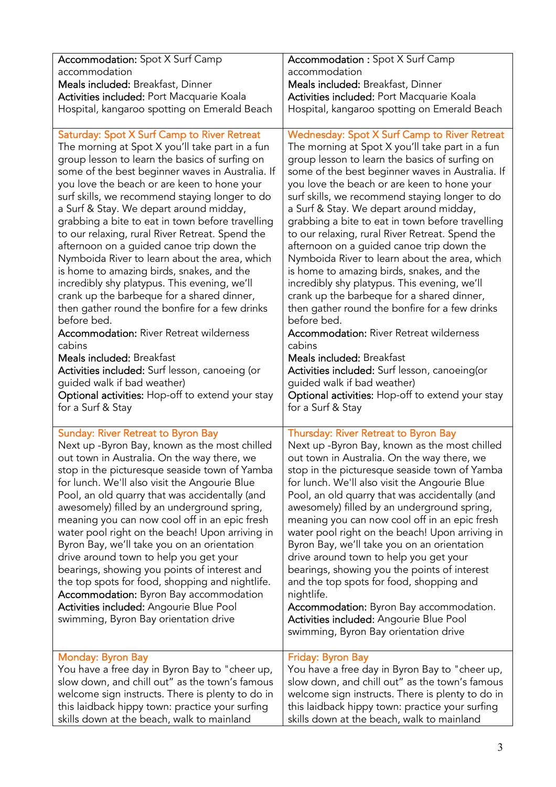| <b>Accommodation:</b> Spot X Surf Camp                                                                                                                                                                                                                                                                                                                                                                                                                                                                                                                                                                                                                                                                                                                                            | <b>Accommodation : Spot X Surf Camp</b>                                                                                                                                                                                                                                                                                                                                                                                                                                                                                                                                                                                                                                                                                                                                       |
|-----------------------------------------------------------------------------------------------------------------------------------------------------------------------------------------------------------------------------------------------------------------------------------------------------------------------------------------------------------------------------------------------------------------------------------------------------------------------------------------------------------------------------------------------------------------------------------------------------------------------------------------------------------------------------------------------------------------------------------------------------------------------------------|-------------------------------------------------------------------------------------------------------------------------------------------------------------------------------------------------------------------------------------------------------------------------------------------------------------------------------------------------------------------------------------------------------------------------------------------------------------------------------------------------------------------------------------------------------------------------------------------------------------------------------------------------------------------------------------------------------------------------------------------------------------------------------|
| accommodation                                                                                                                                                                                                                                                                                                                                                                                                                                                                                                                                                                                                                                                                                                                                                                     | accommodation                                                                                                                                                                                                                                                                                                                                                                                                                                                                                                                                                                                                                                                                                                                                                                 |
| Meals included: Breakfast, Dinner                                                                                                                                                                                                                                                                                                                                                                                                                                                                                                                                                                                                                                                                                                                                                 | Meals included: Breakfast, Dinner                                                                                                                                                                                                                                                                                                                                                                                                                                                                                                                                                                                                                                                                                                                                             |
| Activities included: Port Macquarie Koala                                                                                                                                                                                                                                                                                                                                                                                                                                                                                                                                                                                                                                                                                                                                         | Activities included: Port Macquarie Koala                                                                                                                                                                                                                                                                                                                                                                                                                                                                                                                                                                                                                                                                                                                                     |
| Hospital, kangaroo spotting on Emerald Beach                                                                                                                                                                                                                                                                                                                                                                                                                                                                                                                                                                                                                                                                                                                                      | Hospital, kangaroo spotting on Emerald Beach                                                                                                                                                                                                                                                                                                                                                                                                                                                                                                                                                                                                                                                                                                                                  |
| Saturday: Spot X Surf Camp to River Retreat                                                                                                                                                                                                                                                                                                                                                                                                                                                                                                                                                                                                                                                                                                                                       | <b>Wednesday: Spot X Surf Camp to River Retreat</b>                                                                                                                                                                                                                                                                                                                                                                                                                                                                                                                                                                                                                                                                                                                           |
| The morning at Spot X you'll take part in a fun                                                                                                                                                                                                                                                                                                                                                                                                                                                                                                                                                                                                                                                                                                                                   | The morning at Spot X you'll take part in a fun                                                                                                                                                                                                                                                                                                                                                                                                                                                                                                                                                                                                                                                                                                                               |
| group lesson to learn the basics of surfing on                                                                                                                                                                                                                                                                                                                                                                                                                                                                                                                                                                                                                                                                                                                                    | group lesson to learn the basics of surfing on                                                                                                                                                                                                                                                                                                                                                                                                                                                                                                                                                                                                                                                                                                                                |
| some of the best beginner waves in Australia. If                                                                                                                                                                                                                                                                                                                                                                                                                                                                                                                                                                                                                                                                                                                                  | some of the best beginner waves in Australia. If                                                                                                                                                                                                                                                                                                                                                                                                                                                                                                                                                                                                                                                                                                                              |
| you love the beach or are keen to hone your                                                                                                                                                                                                                                                                                                                                                                                                                                                                                                                                                                                                                                                                                                                                       | you love the beach or are keen to hone your                                                                                                                                                                                                                                                                                                                                                                                                                                                                                                                                                                                                                                                                                                                                   |
| surf skills, we recommend staying longer to do                                                                                                                                                                                                                                                                                                                                                                                                                                                                                                                                                                                                                                                                                                                                    | surf skills, we recommend staying longer to do                                                                                                                                                                                                                                                                                                                                                                                                                                                                                                                                                                                                                                                                                                                                |
| a Surf & Stay. We depart around midday,                                                                                                                                                                                                                                                                                                                                                                                                                                                                                                                                                                                                                                                                                                                                           | a Surf & Stay. We depart around midday,                                                                                                                                                                                                                                                                                                                                                                                                                                                                                                                                                                                                                                                                                                                                       |
| grabbing a bite to eat in town before travelling                                                                                                                                                                                                                                                                                                                                                                                                                                                                                                                                                                                                                                                                                                                                  | grabbing a bite to eat in town before travelling                                                                                                                                                                                                                                                                                                                                                                                                                                                                                                                                                                                                                                                                                                                              |
| to our relaxing, rural River Retreat. Spend the                                                                                                                                                                                                                                                                                                                                                                                                                                                                                                                                                                                                                                                                                                                                   | to our relaxing, rural River Retreat. Spend the                                                                                                                                                                                                                                                                                                                                                                                                                                                                                                                                                                                                                                                                                                                               |
| afternoon on a guided canoe trip down the                                                                                                                                                                                                                                                                                                                                                                                                                                                                                                                                                                                                                                                                                                                                         | afternoon on a guided canoe trip down the                                                                                                                                                                                                                                                                                                                                                                                                                                                                                                                                                                                                                                                                                                                                     |
| Nymboida River to learn about the area, which                                                                                                                                                                                                                                                                                                                                                                                                                                                                                                                                                                                                                                                                                                                                     | Nymboida River to learn about the area, which                                                                                                                                                                                                                                                                                                                                                                                                                                                                                                                                                                                                                                                                                                                                 |
| is home to amazing birds, snakes, and the                                                                                                                                                                                                                                                                                                                                                                                                                                                                                                                                                                                                                                                                                                                                         | is home to amazing birds, snakes, and the                                                                                                                                                                                                                                                                                                                                                                                                                                                                                                                                                                                                                                                                                                                                     |
| incredibly shy platypus. This evening, we'll                                                                                                                                                                                                                                                                                                                                                                                                                                                                                                                                                                                                                                                                                                                                      | incredibly shy platypus. This evening, we'll                                                                                                                                                                                                                                                                                                                                                                                                                                                                                                                                                                                                                                                                                                                                  |
| crank up the barbeque for a shared dinner,                                                                                                                                                                                                                                                                                                                                                                                                                                                                                                                                                                                                                                                                                                                                        | crank up the barbeque for a shared dinner,                                                                                                                                                                                                                                                                                                                                                                                                                                                                                                                                                                                                                                                                                                                                    |
| then gather round the bonfire for a few drinks                                                                                                                                                                                                                                                                                                                                                                                                                                                                                                                                                                                                                                                                                                                                    | then gather round the bonfire for a few drinks                                                                                                                                                                                                                                                                                                                                                                                                                                                                                                                                                                                                                                                                                                                                |
| before bed.                                                                                                                                                                                                                                                                                                                                                                                                                                                                                                                                                                                                                                                                                                                                                                       | before bed.                                                                                                                                                                                                                                                                                                                                                                                                                                                                                                                                                                                                                                                                                                                                                                   |
| <b>Accommodation: River Retreat wilderness</b>                                                                                                                                                                                                                                                                                                                                                                                                                                                                                                                                                                                                                                                                                                                                    | <b>Accommodation: River Retreat wilderness</b>                                                                                                                                                                                                                                                                                                                                                                                                                                                                                                                                                                                                                                                                                                                                |
| cabins                                                                                                                                                                                                                                                                                                                                                                                                                                                                                                                                                                                                                                                                                                                                                                            | cabins                                                                                                                                                                                                                                                                                                                                                                                                                                                                                                                                                                                                                                                                                                                                                                        |
| Meals included: Breakfast                                                                                                                                                                                                                                                                                                                                                                                                                                                                                                                                                                                                                                                                                                                                                         | Meals included: Breakfast                                                                                                                                                                                                                                                                                                                                                                                                                                                                                                                                                                                                                                                                                                                                                     |
| Activities included: Surf lesson, canoeing (or                                                                                                                                                                                                                                                                                                                                                                                                                                                                                                                                                                                                                                                                                                                                    | Activities included: Surf lesson, canoeing (or                                                                                                                                                                                                                                                                                                                                                                                                                                                                                                                                                                                                                                                                                                                                |
| guided walk if bad weather)                                                                                                                                                                                                                                                                                                                                                                                                                                                                                                                                                                                                                                                                                                                                                       | guided walk if bad weather)                                                                                                                                                                                                                                                                                                                                                                                                                                                                                                                                                                                                                                                                                                                                                   |
| Optional activities: Hop-off to extend your stay                                                                                                                                                                                                                                                                                                                                                                                                                                                                                                                                                                                                                                                                                                                                  | Optional activities: Hop-off to extend your stay                                                                                                                                                                                                                                                                                                                                                                                                                                                                                                                                                                                                                                                                                                                              |
| for a Surf & Stay                                                                                                                                                                                                                                                                                                                                                                                                                                                                                                                                                                                                                                                                                                                                                                 | for a Surf & Stay                                                                                                                                                                                                                                                                                                                                                                                                                                                                                                                                                                                                                                                                                                                                                             |
| <b>Sunday: River Retreat to Byron Bay</b><br>Next up -Byron Bay, known as the most chilled<br>out town in Australia. On the way there, we<br>stop in the picturesque seaside town of Yamba<br>for lunch. We'll also visit the Angourie Blue<br>Pool, an old quarry that was accidentally (and<br>awesomely) filled by an underground spring,<br>meaning you can now cool off in an epic fresh<br>water pool right on the beach! Upon arriving in<br>Byron Bay, we'll take you on an orientation<br>drive around town to help you get your<br>bearings, showing you points of interest and<br>the top spots for food, shopping and nightlife.<br><b>Accommodation:</b> Byron Bay accommodation<br>Activities included: Angourie Blue Pool<br>swimming, Byron Bay orientation drive | Thursday: River Retreat to Byron Bay<br>Next up -Byron Bay, known as the most chilled<br>out town in Australia. On the way there, we<br>stop in the picturesque seaside town of Yamba<br>for lunch. We'll also visit the Angourie Blue<br>Pool, an old quarry that was accidentally (and<br>awesomely) filled by an underground spring,<br>meaning you can now cool off in an epic fresh<br>water pool right on the beach! Upon arriving in<br>Byron Bay, we'll take you on an orientation<br>drive around town to help you get your<br>bearings, showing you the points of interest<br>and the top spots for food, shopping and<br>nightlife.<br>Accommodation: Byron Bay accommodation.<br>Activities included: Angourie Blue Pool<br>swimming, Byron Bay orientation drive |
| Monday: Byron Bay                                                                                                                                                                                                                                                                                                                                                                                                                                                                                                                                                                                                                                                                                                                                                                 | Friday: Byron Bay                                                                                                                                                                                                                                                                                                                                                                                                                                                                                                                                                                                                                                                                                                                                                             |
| You have a free day in Byron Bay to "cheer up,                                                                                                                                                                                                                                                                                                                                                                                                                                                                                                                                                                                                                                                                                                                                    | You have a free day in Byron Bay to "cheer up,                                                                                                                                                                                                                                                                                                                                                                                                                                                                                                                                                                                                                                                                                                                                |
| slow down, and chill out" as the town's famous                                                                                                                                                                                                                                                                                                                                                                                                                                                                                                                                                                                                                                                                                                                                    | slow down, and chill out" as the town's famous                                                                                                                                                                                                                                                                                                                                                                                                                                                                                                                                                                                                                                                                                                                                |
| welcome sign instructs. There is plenty to do in                                                                                                                                                                                                                                                                                                                                                                                                                                                                                                                                                                                                                                                                                                                                  | welcome sign instructs. There is plenty to do in                                                                                                                                                                                                                                                                                                                                                                                                                                                                                                                                                                                                                                                                                                                              |
| this laidback hippy town: practice your surfing                                                                                                                                                                                                                                                                                                                                                                                                                                                                                                                                                                                                                                                                                                                                   | this laidback hippy town: practice your surfing                                                                                                                                                                                                                                                                                                                                                                                                                                                                                                                                                                                                                                                                                                                               |
| skills down at the beach, walk to mainland                                                                                                                                                                                                                                                                                                                                                                                                                                                                                                                                                                                                                                                                                                                                        | skills down at the beach, walk to mainland                                                                                                                                                                                                                                                                                                                                                                                                                                                                                                                                                                                                                                                                                                                                    |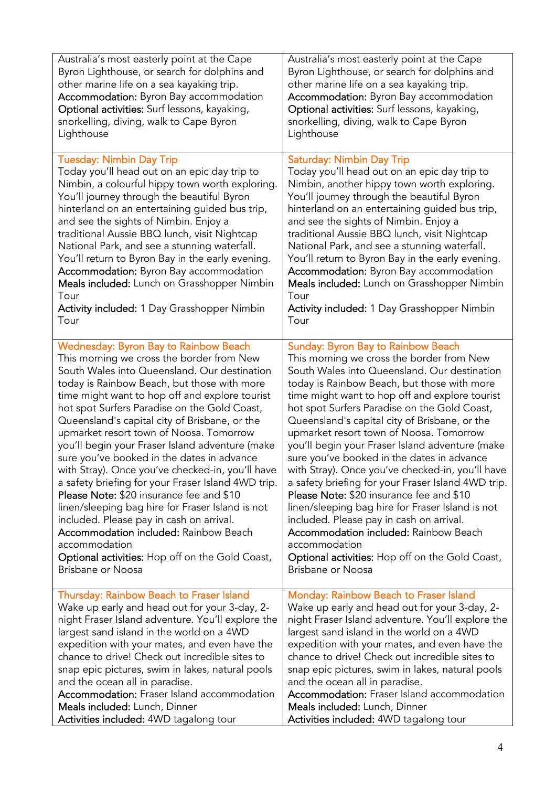| Australia's most easterly point at the Cape        | Australia's most easterly point at the Cape        |
|----------------------------------------------------|----------------------------------------------------|
| Byron Lighthouse, or search for dolphins and       | Byron Lighthouse, or search for dolphins and       |
| other marine life on a sea kayaking trip.          | other marine life on a sea kayaking trip.          |
| Accommodation: Byron Bay accommodation             | Accommodation: Byron Bay accommodation             |
| Optional activities: Surf lessons, kayaking,       | Optional activities: Surf lessons, kayaking,       |
| snorkelling, diving, walk to Cape Byron            | snorkelling, diving, walk to Cape Byron            |
| Lighthouse                                         | Lighthouse                                         |
| <b>Tuesday: Nimbin Day Trip</b>                    | <b>Saturday: Nimbin Day Trip</b>                   |
| Today you'll head out on an epic day trip to       | Today you'll head out on an epic day trip to       |
| Nimbin, a colourful hippy town worth exploring.    | Nimbin, another hippy town worth exploring.        |
| You'll journey through the beautiful Byron         | You'll journey through the beautiful Byron         |
| hinterland on an entertaining guided bus trip,     | hinterland on an entertaining guided bus trip,     |
| and see the sights of Nimbin. Enjoy a              | and see the sights of Nimbin. Enjoy a              |
| traditional Aussie BBQ lunch, visit Nightcap       | traditional Aussie BBQ lunch, visit Nightcap       |
| National Park, and see a stunning waterfall.       | National Park, and see a stunning waterfall.       |
| You'll return to Byron Bay in the early evening.   | You'll return to Byron Bay in the early evening.   |
| Accommodation: Byron Bay accommodation             | <b>Accommodation:</b> Byron Bay accommodation      |
| Meals included: Lunch on Grasshopper Nimbin        | Meals included: Lunch on Grasshopper Nimbin        |
| Tour                                               | Tour                                               |
| Activity included: 1 Day Grasshopper Nimbin        | <b>Activity included: 1 Day Grasshopper Nimbin</b> |
| Tour                                               | Tour                                               |
| <b>Wednesday: Byron Bay to Rainbow Beach</b>       | Sunday: Byron Bay to Rainbow Beach                 |
| This morning we cross the border from New          | This morning we cross the border from New          |
| South Wales into Queensland. Our destination       | South Wales into Queensland. Our destination       |
| today is Rainbow Beach, but those with more        | today is Rainbow Beach, but those with more        |
| time might want to hop off and explore tourist     | time might want to hop off and explore tourist     |
| hot spot Surfers Paradise on the Gold Coast,       | hot spot Surfers Paradise on the Gold Coast,       |
| Queensland's capital city of Brisbane, or the      | Queensland's capital city of Brisbane, or the      |
| upmarket resort town of Noosa. Tomorrow            | upmarket resort town of Noosa. Tomorrow            |
| you'll begin your Fraser Island adventure (make    | you'll begin your Fraser Island adventure (make    |
| sure you've booked in the dates in advance         | sure you've booked in the dates in advance         |
| with Stray). Once you've checked-in, you'll have   | with Stray). Once you've checked-in, you'll have   |
| a safety briefing for your Fraser Island 4WD trip. | a safety briefing for your Fraser Island 4WD trip. |
| Please Note: \$20 insurance fee and \$10           | <b>Please Note: \$20 insurance fee and \$10</b>    |
| linen/sleeping bag hire for Fraser Island is not   | linen/sleeping bag hire for Fraser Island is not   |
| included. Please pay in cash on arrival.           | included. Please pay in cash on arrival.           |
| <b>Accommodation included: Rainbow Beach</b>       | <b>Accommodation included: Rainbow Beach</b>       |
| accommodation                                      | accommodation                                      |
| Optional activities: Hop off on the Gold Coast,    | Optional activities: Hop off on the Gold Coast,    |
| <b>Brisbane or Noosa</b>                           | Brisbane or Noosa                                  |
| Thursday: Rainbow Beach to Fraser Island           | Monday: Rainbow Beach to Fraser Island             |
| Wake up early and head out for your 3-day, 2-      | Wake up early and head out for your 3-day, 2-      |
| night Fraser Island adventure. You'll explore the  | night Fraser Island adventure. You'll explore the  |
| largest sand island in the world on a 4WD          | largest sand island in the world on a 4WD          |
| expedition with your mates, and even have the      | expedition with your mates, and even have the      |
| chance to drive! Check out incredible sites to     | chance to drive! Check out incredible sites to     |
| snap epic pictures, swim in lakes, natural pools   | snap epic pictures, swim in lakes, natural pools   |
| and the ocean all in paradise.                     | and the ocean all in paradise.                     |
| <b>Accommodation:</b> Fraser Island accommodation  | <b>Accommodation:</b> Fraser Island accommodation  |
| Meals included: Lunch, Dinner                      | Meals included: Lunch, Dinner                      |
| Activities included: 4WD tagalong tour             | Activities included: 4WD tagalong tour             |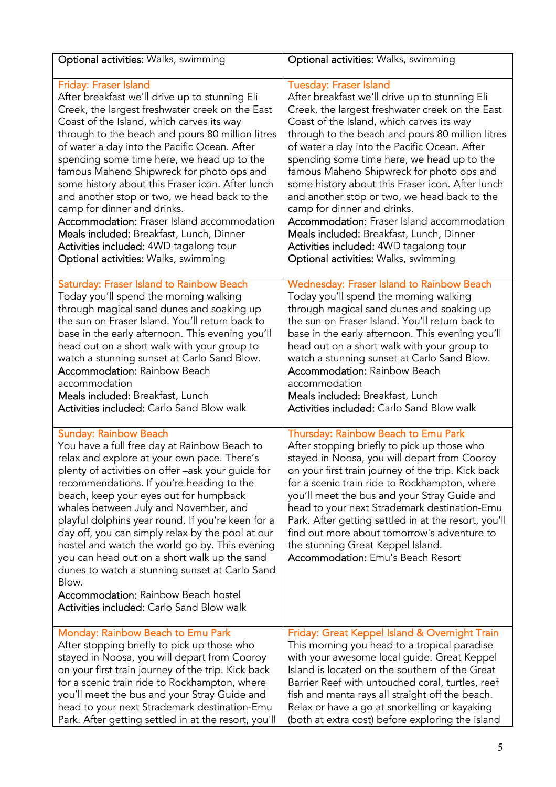| Optional activities: Walks, swimming                                                                                                                                                                                                                                                                                                                                                                                                                                                                                                                                                                                                                                                     | Optional activities: Walks, swimming                                                                                                                                                                                                                                                                                                                                                                                                                                                                                              |
|------------------------------------------------------------------------------------------------------------------------------------------------------------------------------------------------------------------------------------------------------------------------------------------------------------------------------------------------------------------------------------------------------------------------------------------------------------------------------------------------------------------------------------------------------------------------------------------------------------------------------------------------------------------------------------------|-----------------------------------------------------------------------------------------------------------------------------------------------------------------------------------------------------------------------------------------------------------------------------------------------------------------------------------------------------------------------------------------------------------------------------------------------------------------------------------------------------------------------------------|
| Friday: Fraser Island                                                                                                                                                                                                                                                                                                                                                                                                                                                                                                                                                                                                                                                                    | <b>Tuesday: Fraser Island</b>                                                                                                                                                                                                                                                                                                                                                                                                                                                                                                     |
| After breakfast we'll drive up to stunning Eli                                                                                                                                                                                                                                                                                                                                                                                                                                                                                                                                                                                                                                           | After breakfast we'll drive up to stunning Eli                                                                                                                                                                                                                                                                                                                                                                                                                                                                                    |
| Creek, the largest freshwater creek on the East                                                                                                                                                                                                                                                                                                                                                                                                                                                                                                                                                                                                                                          | Creek, the largest freshwater creek on the East                                                                                                                                                                                                                                                                                                                                                                                                                                                                                   |
| Coast of the Island, which carves its way                                                                                                                                                                                                                                                                                                                                                                                                                                                                                                                                                                                                                                                | Coast of the Island, which carves its way                                                                                                                                                                                                                                                                                                                                                                                                                                                                                         |
| through to the beach and pours 80 million litres                                                                                                                                                                                                                                                                                                                                                                                                                                                                                                                                                                                                                                         | through to the beach and pours 80 million litres                                                                                                                                                                                                                                                                                                                                                                                                                                                                                  |
| of water a day into the Pacific Ocean. After                                                                                                                                                                                                                                                                                                                                                                                                                                                                                                                                                                                                                                             | of water a day into the Pacific Ocean. After                                                                                                                                                                                                                                                                                                                                                                                                                                                                                      |
| spending some time here, we head up to the                                                                                                                                                                                                                                                                                                                                                                                                                                                                                                                                                                                                                                               | spending some time here, we head up to the                                                                                                                                                                                                                                                                                                                                                                                                                                                                                        |
| famous Maheno Shipwreck for photo ops and                                                                                                                                                                                                                                                                                                                                                                                                                                                                                                                                                                                                                                                | famous Maheno Shipwreck for photo ops and                                                                                                                                                                                                                                                                                                                                                                                                                                                                                         |
| some history about this Fraser icon. After lunch                                                                                                                                                                                                                                                                                                                                                                                                                                                                                                                                                                                                                                         | some history about this Fraser icon. After lunch                                                                                                                                                                                                                                                                                                                                                                                                                                                                                  |
| and another stop or two, we head back to the                                                                                                                                                                                                                                                                                                                                                                                                                                                                                                                                                                                                                                             | and another stop or two, we head back to the                                                                                                                                                                                                                                                                                                                                                                                                                                                                                      |
| camp for dinner and drinks.                                                                                                                                                                                                                                                                                                                                                                                                                                                                                                                                                                                                                                                              | camp for dinner and drinks.                                                                                                                                                                                                                                                                                                                                                                                                                                                                                                       |
| Accommodation: Fraser Island accommodation                                                                                                                                                                                                                                                                                                                                                                                                                                                                                                                                                                                                                                               | <b>Accommodation:</b> Fraser Island accommodation                                                                                                                                                                                                                                                                                                                                                                                                                                                                                 |
| Meals included: Breakfast, Lunch, Dinner                                                                                                                                                                                                                                                                                                                                                                                                                                                                                                                                                                                                                                                 | Meals included: Breakfast, Lunch, Dinner                                                                                                                                                                                                                                                                                                                                                                                                                                                                                          |
| Activities included: 4WD tagalong tour                                                                                                                                                                                                                                                                                                                                                                                                                                                                                                                                                                                                                                                   | Activities included: 4WD tagalong tour                                                                                                                                                                                                                                                                                                                                                                                                                                                                                            |
| Optional activities: Walks, swimming                                                                                                                                                                                                                                                                                                                                                                                                                                                                                                                                                                                                                                                     | Optional activities: Walks, swimming                                                                                                                                                                                                                                                                                                                                                                                                                                                                                              |
| Saturday: Fraser Island to Rainbow Beach                                                                                                                                                                                                                                                                                                                                                                                                                                                                                                                                                                                                                                                 | <b>Wednesday: Fraser Island to Rainbow Beach</b>                                                                                                                                                                                                                                                                                                                                                                                                                                                                                  |
| Today you'll spend the morning walking                                                                                                                                                                                                                                                                                                                                                                                                                                                                                                                                                                                                                                                   | Today you'll spend the morning walking                                                                                                                                                                                                                                                                                                                                                                                                                                                                                            |
| through magical sand dunes and soaking up                                                                                                                                                                                                                                                                                                                                                                                                                                                                                                                                                                                                                                                | through magical sand dunes and soaking up                                                                                                                                                                                                                                                                                                                                                                                                                                                                                         |
| the sun on Fraser Island. You'll return back to                                                                                                                                                                                                                                                                                                                                                                                                                                                                                                                                                                                                                                          | the sun on Fraser Island. You'll return back to                                                                                                                                                                                                                                                                                                                                                                                                                                                                                   |
| base in the early afternoon. This evening you'll                                                                                                                                                                                                                                                                                                                                                                                                                                                                                                                                                                                                                                         | base in the early afternoon. This evening you'll                                                                                                                                                                                                                                                                                                                                                                                                                                                                                  |
| head out on a short walk with your group to                                                                                                                                                                                                                                                                                                                                                                                                                                                                                                                                                                                                                                              | head out on a short walk with your group to                                                                                                                                                                                                                                                                                                                                                                                                                                                                                       |
| watch a stunning sunset at Carlo Sand Blow.                                                                                                                                                                                                                                                                                                                                                                                                                                                                                                                                                                                                                                              | watch a stunning sunset at Carlo Sand Blow.                                                                                                                                                                                                                                                                                                                                                                                                                                                                                       |
| <b>Accommodation: Rainbow Beach</b>                                                                                                                                                                                                                                                                                                                                                                                                                                                                                                                                                                                                                                                      | <b>Accommodation: Rainbow Beach</b>                                                                                                                                                                                                                                                                                                                                                                                                                                                                                               |
| accommodation                                                                                                                                                                                                                                                                                                                                                                                                                                                                                                                                                                                                                                                                            | accommodation                                                                                                                                                                                                                                                                                                                                                                                                                                                                                                                     |
| Meals included: Breakfast, Lunch                                                                                                                                                                                                                                                                                                                                                                                                                                                                                                                                                                                                                                                         | Meals included: Breakfast, Lunch                                                                                                                                                                                                                                                                                                                                                                                                                                                                                                  |
| <b>Activities included:</b> Carlo Sand Blow walk                                                                                                                                                                                                                                                                                                                                                                                                                                                                                                                                                                                                                                         | <b>Activities included: Carlo Sand Blow walk</b>                                                                                                                                                                                                                                                                                                                                                                                                                                                                                  |
| <b>Sunday: Rainbow Beach</b><br>You have a full free day at Rainbow Beach to<br>relax and explore at your own pace. There's<br>plenty of activities on offer -ask your guide for<br>recommendations. If you're heading to the<br>beach, keep your eyes out for humpback<br>whales between July and November, and<br>playful dolphins year round. If you're keen for a<br>day off, you can simply relax by the pool at our<br>hostel and watch the world go by. This evening<br>you can head out on a short walk up the sand<br>dunes to watch a stunning sunset at Carlo Sand<br>Blow.<br><b>Accommodation: Rainbow Beach hostel</b><br><b>Activities included:</b> Carlo Sand Blow walk | Thursday: Rainbow Beach to Emu Park<br>After stopping briefly to pick up those who<br>stayed in Noosa, you will depart from Cooroy<br>on your first train journey of the trip. Kick back<br>for a scenic train ride to Rockhampton, where<br>you'll meet the bus and your Stray Guide and<br>head to your next Strademark destination-Emu<br>Park. After getting settled in at the resort, you'll<br>find out more about tomorrow's adventure to<br>the stunning Great Keppel Island.<br><b>Accommodation:</b> Emu's Beach Resort |
| Monday: Rainbow Beach to Emu Park                                                                                                                                                                                                                                                                                                                                                                                                                                                                                                                                                                                                                                                        | Friday: Great Keppel Island & Overnight Train                                                                                                                                                                                                                                                                                                                                                                                                                                                                                     |
| After stopping briefly to pick up those who                                                                                                                                                                                                                                                                                                                                                                                                                                                                                                                                                                                                                                              | This morning you head to a tropical paradise                                                                                                                                                                                                                                                                                                                                                                                                                                                                                      |
| stayed in Noosa, you will depart from Cooroy                                                                                                                                                                                                                                                                                                                                                                                                                                                                                                                                                                                                                                             | with your awesome local guide. Great Keppel                                                                                                                                                                                                                                                                                                                                                                                                                                                                                       |
| on your first train journey of the trip. Kick back                                                                                                                                                                                                                                                                                                                                                                                                                                                                                                                                                                                                                                       | Island is located on the southern of the Great                                                                                                                                                                                                                                                                                                                                                                                                                                                                                    |
| for a scenic train ride to Rockhampton, where                                                                                                                                                                                                                                                                                                                                                                                                                                                                                                                                                                                                                                            | Barrier Reef with untouched coral, turtles, reef                                                                                                                                                                                                                                                                                                                                                                                                                                                                                  |
| you'll meet the bus and your Stray Guide and                                                                                                                                                                                                                                                                                                                                                                                                                                                                                                                                                                                                                                             | fish and manta rays all straight off the beach.                                                                                                                                                                                                                                                                                                                                                                                                                                                                                   |
| head to your next Strademark destination-Emu                                                                                                                                                                                                                                                                                                                                                                                                                                                                                                                                                                                                                                             | Relax or have a go at snorkelling or kayaking                                                                                                                                                                                                                                                                                                                                                                                                                                                                                     |
| Park. After getting settled in at the resort, you'll                                                                                                                                                                                                                                                                                                                                                                                                                                                                                                                                                                                                                                     | (both at extra cost) before exploring the island                                                                                                                                                                                                                                                                                                                                                                                                                                                                                  |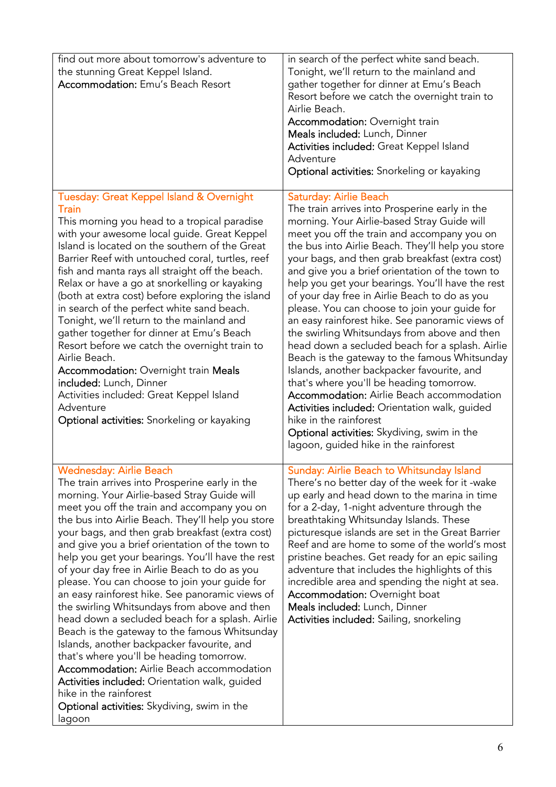| find out more about tomorrow's adventure to<br>the stunning Great Keppel Island.<br><b>Accommodation: Emu's Beach Resort</b>                                                                                                                                                                                                                                                                                                                                                                                                                                                                                                                                                                                                                                                                                                                                                                                                                                                             | in search of the perfect white sand beach.<br>Tonight, we'll return to the mainland and<br>gather together for dinner at Emu's Beach<br>Resort before we catch the overnight train to<br>Airlie Beach.<br><b>Accommodation: Overnight train</b><br>Meals included: Lunch, Dinner<br>Activities included: Great Keppel Island<br>Adventure<br>Optional activities: Snorkeling or kayaking                                                                                                                                                                                                                                                                                                                                                                                                                                                                                                                                                                                                                        |
|------------------------------------------------------------------------------------------------------------------------------------------------------------------------------------------------------------------------------------------------------------------------------------------------------------------------------------------------------------------------------------------------------------------------------------------------------------------------------------------------------------------------------------------------------------------------------------------------------------------------------------------------------------------------------------------------------------------------------------------------------------------------------------------------------------------------------------------------------------------------------------------------------------------------------------------------------------------------------------------|-----------------------------------------------------------------------------------------------------------------------------------------------------------------------------------------------------------------------------------------------------------------------------------------------------------------------------------------------------------------------------------------------------------------------------------------------------------------------------------------------------------------------------------------------------------------------------------------------------------------------------------------------------------------------------------------------------------------------------------------------------------------------------------------------------------------------------------------------------------------------------------------------------------------------------------------------------------------------------------------------------------------|
| Tuesday: Great Keppel Island & Overnight<br><b>Train</b><br>This morning you head to a tropical paradise<br>with your awesome local guide. Great Keppel<br>Island is located on the southern of the Great<br>Barrier Reef with untouched coral, turtles, reef<br>fish and manta rays all straight off the beach.<br>Relax or have a go at snorkelling or kayaking<br>(both at extra cost) before exploring the island<br>in search of the perfect white sand beach.<br>Tonight, we'll return to the mainland and<br>gather together for dinner at Emu's Beach<br>Resort before we catch the overnight train to<br>Airlie Beach.<br><b>Accommodation: Overnight train Meals</b><br>included: Lunch, Dinner<br>Activities included: Great Keppel Island<br>Adventure<br>Optional activities: Snorkeling or kayaking                                                                                                                                                                        | <b>Saturday: Airlie Beach</b><br>The train arrives into Prosperine early in the<br>morning. Your Airlie-based Stray Guide will<br>meet you off the train and accompany you on<br>the bus into Airlie Beach. They'll help you store<br>your bags, and then grab breakfast (extra cost)<br>and give you a brief orientation of the town to<br>help you get your bearings. You'll have the rest<br>of your day free in Airlie Beach to do as you<br>please. You can choose to join your guide for<br>an easy rainforest hike. See panoramic views of<br>the swirling Whitsundays from above and then<br>head down a secluded beach for a splash. Airlie<br>Beach is the gateway to the famous Whitsunday<br>Islands, another backpacker favourite, and<br>that's where you'll be heading tomorrow.<br>Accommodation: Airlie Beach accommodation<br>Activities included: Orientation walk, guided<br>hike in the rainforest<br>Optional activities: Skydiving, swim in the<br>lagoon, guided hike in the rainforest |
| <b>Wednesday: Airlie Beach</b><br>The train arrives into Prosperine early in the<br>morning. Your Airlie-based Stray Guide will<br>meet you off the train and accompany you on<br>the bus into Airlie Beach. They'll help you store<br>your bags, and then grab breakfast (extra cost)<br>and give you a brief orientation of the town to<br>help you get your bearings. You'll have the rest<br>of your day free in Airlie Beach to do as you<br>please. You can choose to join your guide for<br>an easy rainforest hike. See panoramic views of<br>the swirling Whitsundays from above and then<br>head down a secluded beach for a splash. Airlie<br>Beach is the gateway to the famous Whitsunday<br>Islands, another backpacker favourite, and<br>that's where you'll be heading tomorrow.<br><b>Accommodation:</b> Airlie Beach accommodation<br>Activities included: Orientation walk, guided<br>hike in the rainforest<br>Optional activities: Skydiving, swim in the<br>lagoon | Sunday: Airlie Beach to Whitsunday Island<br>There's no better day of the week for it -wake<br>up early and head down to the marina in time<br>for a 2-day, 1-night adventure through the<br>breathtaking Whitsunday Islands. These<br>picturesque islands are set in the Great Barrier<br>Reef and are home to some of the world's most<br>pristine beaches. Get ready for an epic sailing<br>adventure that includes the highlights of this<br>incredible area and spending the night at sea.<br><b>Accommodation: Overnight boat</b><br>Meals included: Lunch, Dinner<br>Activities included: Sailing, snorkeling                                                                                                                                                                                                                                                                                                                                                                                            |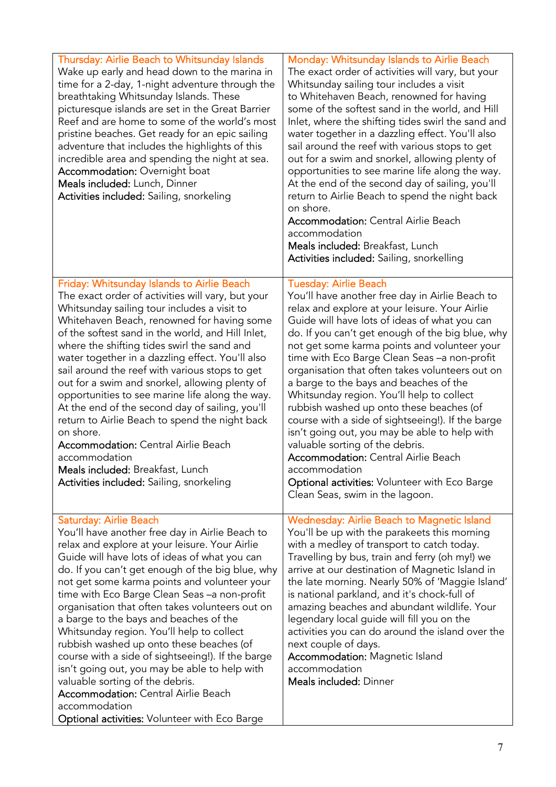| Thursday: Airlie Beach to Whitsunday Islands<br>Wake up early and head down to the marina in<br>time for a 2-day, 1-night adventure through the<br>breathtaking Whitsunday Islands. These<br>picturesque islands are set in the Great Barrier<br>Reef and are home to some of the world's most<br>pristine beaches. Get ready for an epic sailing<br>adventure that includes the highlights of this<br>incredible area and spending the night at sea.<br><b>Accommodation: Overnight boat</b><br>Meals included: Lunch, Dinner<br>Activities included: Sailing, snorkeling                                                                                                                                                                                                       | Monday: Whitsunday Islands to Airlie Beach<br>The exact order of activities will vary, but your<br>Whitsunday sailing tour includes a visit<br>to Whitehaven Beach, renowned for having<br>some of the softest sand in the world, and Hill<br>Inlet, where the shifting tides swirl the sand and<br>water together in a dazzling effect. You'll also<br>sail around the reef with various stops to get<br>out for a swim and snorkel, allowing plenty of<br>opportunities to see marine life along the way.<br>At the end of the second day of sailing, you'll<br>return to Airlie Beach to spend the night back<br>on shore.<br><b>Accommodation: Central Airlie Beach</b><br>accommodation<br>Meals included: Breakfast, Lunch<br>Activities included: Sailing, snorkelling                                                    |
|----------------------------------------------------------------------------------------------------------------------------------------------------------------------------------------------------------------------------------------------------------------------------------------------------------------------------------------------------------------------------------------------------------------------------------------------------------------------------------------------------------------------------------------------------------------------------------------------------------------------------------------------------------------------------------------------------------------------------------------------------------------------------------|----------------------------------------------------------------------------------------------------------------------------------------------------------------------------------------------------------------------------------------------------------------------------------------------------------------------------------------------------------------------------------------------------------------------------------------------------------------------------------------------------------------------------------------------------------------------------------------------------------------------------------------------------------------------------------------------------------------------------------------------------------------------------------------------------------------------------------|
| Friday: Whitsunday Islands to Airlie Beach<br>The exact order of activities will vary, but your<br>Whitsunday sailing tour includes a visit to<br>Whitehaven Beach, renowned for having some<br>of the softest sand in the world, and Hill Inlet,<br>where the shifting tides swirl the sand and<br>water together in a dazzling effect. You'll also<br>sail around the reef with various stops to get<br>out for a swim and snorkel, allowing plenty of<br>opportunities to see marine life along the way.<br>At the end of the second day of sailing, you'll<br>return to Airlie Beach to spend the night back<br>on shore.<br><b>Accommodation: Central Airlie Beach</b><br>accommodation<br>Meals included: Breakfast, Lunch<br>Activities included: Sailing, snorkeling     | <b>Tuesday: Airlie Beach</b><br>You'll have another free day in Airlie Beach to<br>relax and explore at your leisure. Your Airlie<br>Guide will have lots of ideas of what you can<br>do. If you can't get enough of the big blue, why<br>not get some karma points and volunteer your<br>time with Eco Barge Clean Seas - a non-profit<br>organisation that often takes volunteers out on<br>a barge to the bays and beaches of the<br>Whitsunday region. You'll help to collect<br>rubbish washed up onto these beaches (of<br>course with a side of sightseeing!). If the barge<br>isn't going out, you may be able to help with<br>valuable sorting of the debris.<br><b>Accommodation: Central Airlie Beach</b><br>accommodation<br><b>Optional activities: Volunteer with Eco Barge</b><br>Clean Seas, swim in the lagoon. |
| Saturday: Airlie Beach<br>You'll have another free day in Airlie Beach to<br>relax and explore at your leisure. Your Airlie<br>Guide will have lots of ideas of what you can<br>do. If you can't get enough of the big blue, why<br>not get some karma points and volunteer your<br>time with Eco Barge Clean Seas - a non-profit<br>organisation that often takes volunteers out on<br>a barge to the bays and beaches of the<br>Whitsunday region. You'll help to collect<br>rubbish washed up onto these beaches (of<br>course with a side of sightseeing!). If the barge<br>isn't going out, you may be able to help with<br>valuable sorting of the debris.<br><b>Accommodation: Central Airlie Beach</b><br>accommodation<br>Optional activities: Volunteer with Eco Barge | Wednesday: Airlie Beach to Magnetic Island<br>You'll be up with the parakeets this morning<br>with a medley of transport to catch today.<br>Travelling by bus, train and ferry (oh my!) we<br>arrive at our destination of Magnetic Island in<br>the late morning. Nearly 50% of 'Maggie Island'<br>is national parkland, and it's chock-full of<br>amazing beaches and abundant wildlife. Your<br>legendary local guide will fill you on the<br>activities you can do around the island over the<br>next couple of days.<br><b>Accommodation: Magnetic Island</b><br>accommodation<br>Meals included: Dinner                                                                                                                                                                                                                    |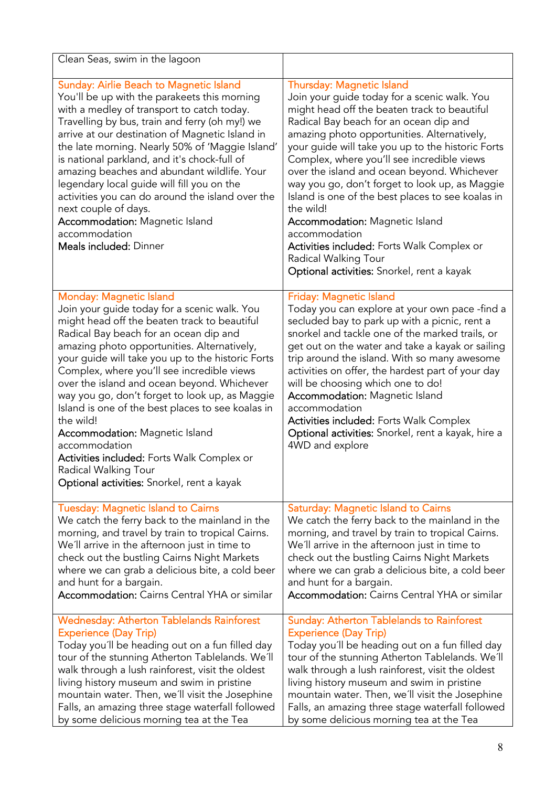| Clean Seas, swim in the lagoon                                                                                                                                                                                                                                                                                                                                                                                                                                                                                                                                                                                                                                       |                                                                                                                                                                                                                                                                                                                                                                                                                                                                                                                                                                                                                                                                               |
|----------------------------------------------------------------------------------------------------------------------------------------------------------------------------------------------------------------------------------------------------------------------------------------------------------------------------------------------------------------------------------------------------------------------------------------------------------------------------------------------------------------------------------------------------------------------------------------------------------------------------------------------------------------------|-------------------------------------------------------------------------------------------------------------------------------------------------------------------------------------------------------------------------------------------------------------------------------------------------------------------------------------------------------------------------------------------------------------------------------------------------------------------------------------------------------------------------------------------------------------------------------------------------------------------------------------------------------------------------------|
| Sunday: Airlie Beach to Magnetic Island<br>You'll be up with the parakeets this morning<br>with a medley of transport to catch today.<br>Travelling by bus, train and ferry (oh my!) we<br>arrive at our destination of Magnetic Island in<br>the late morning. Nearly 50% of 'Maggie Island'<br>is national parkland, and it's chock-full of<br>amazing beaches and abundant wildlife. Your<br>legendary local guide will fill you on the<br>activities you can do around the island over the<br>next couple of days.<br><b>Accommodation: Magnetic Island</b><br>accommodation<br>Meals included: Dinner                                                           | <b>Thursday: Magnetic Island</b><br>Join your guide today for a scenic walk. You<br>might head off the beaten track to beautiful<br>Radical Bay beach for an ocean dip and<br>amazing photo opportunities. Alternatively,<br>your guide will take you up to the historic Forts<br>Complex, where you'll see incredible views<br>over the island and ocean beyond. Whichever<br>way you go, don't forget to look up, as Maggie<br>Island is one of the best places to see koalas in<br>the wild!<br><b>Accommodation: Magnetic Island</b><br>accommodation<br>Activities included: Forts Walk Complex or<br>Radical Walking Tour<br>Optional activities: Snorkel, rent a kayak |
| Monday: Magnetic Island<br>Join your guide today for a scenic walk. You<br>might head off the beaten track to beautiful<br>Radical Bay beach for an ocean dip and<br>amazing photo opportunities. Alternatively,<br>your guide will take you up to the historic Forts<br>Complex, where you'll see incredible views<br>over the island and ocean beyond. Whichever<br>way you go, don't forget to look up, as Maggie<br>Island is one of the best places to see koalas in<br>the wild!<br><b>Accommodation: Magnetic Island</b><br>accommodation<br>Activities included: Forts Walk Complex or<br>Radical Walking Tour<br>Optional activities: Snorkel, rent a kayak | Friday: Magnetic Island<br>Today you can explore at your own pace -find a<br>secluded bay to park up with a picnic, rent a<br>snorkel and tackle one of the marked trails, or<br>get out on the water and take a kayak or sailing<br>trip around the island. With so many awesome<br>activities on offer, the hardest part of your day<br>will be choosing which one to do!<br><b>Accommodation: Magnetic Island</b><br>accommodation<br><b>Activities included: Forts Walk Complex</b><br>Optional activities: Snorkel, rent a kayak, hire a<br>4WD and explore                                                                                                              |
| <b>Tuesday: Magnetic Island to Cairns</b><br>We catch the ferry back to the mainland in the<br>morning, and travel by train to tropical Cairns.<br>We'll arrive in the afternoon just in time to<br>check out the bustling Cairns Night Markets<br>where we can grab a delicious bite, a cold beer<br>and hunt for a bargain.<br><b>Accommodation:</b> Cairns Central YHA or similar                                                                                                                                                                                                                                                                                 | <b>Saturday: Magnetic Island to Cairns</b><br>We catch the ferry back to the mainland in the<br>morning, and travel by train to tropical Cairns.<br>We'll arrive in the afternoon just in time to<br>check out the bustling Cairns Night Markets<br>where we can grab a delicious bite, a cold beer<br>and hunt for a bargain.<br><b>Accommodation:</b> Cairns Central YHA or similar                                                                                                                                                                                                                                                                                         |
| <b>Wednesday: Atherton Tablelands Rainforest</b><br><b>Experience (Day Trip)</b><br>Today you'll be heading out on a fun filled day<br>tour of the stunning Atherton Tablelands. We'll<br>walk through a lush rainforest, visit the oldest<br>living history museum and swim in pristine<br>mountain water. Then, we'll visit the Josephine<br>Falls, an amazing three stage waterfall followed<br>by some delicious morning tea at the Tea                                                                                                                                                                                                                          | <b>Sunday: Atherton Tablelands to Rainforest</b><br><b>Experience (Day Trip)</b><br>Today you'll be heading out on a fun filled day<br>tour of the stunning Atherton Tablelands. We'll<br>walk through a lush rainforest, visit the oldest<br>living history museum and swim in pristine<br>mountain water. Then, we'll visit the Josephine<br>Falls, an amazing three stage waterfall followed<br>by some delicious morning tea at the Tea                                                                                                                                                                                                                                   |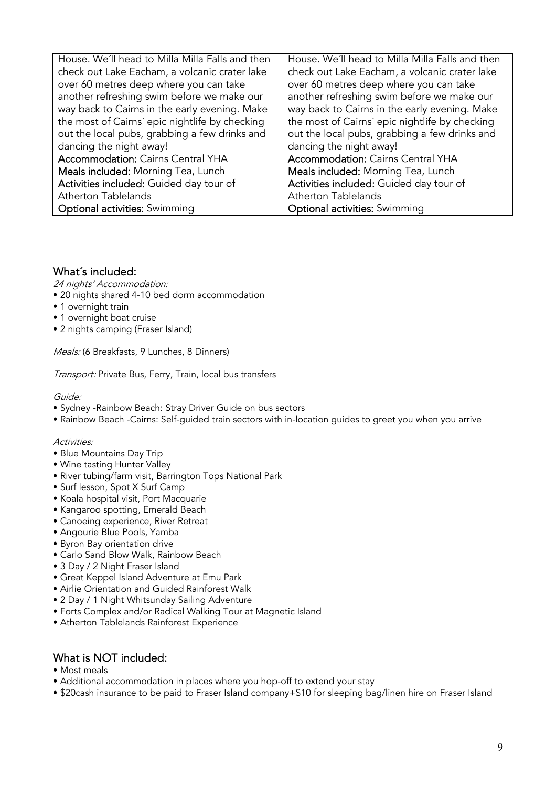| House. We'll head to Milla Milla Falls and then | House. We'll head to Milla Milla Falls and then |
|-------------------------------------------------|-------------------------------------------------|
| check out Lake Eacham, a volcanic crater lake   | check out Lake Eacham, a volcanic crater lake   |
| over 60 metres deep where you can take          | over 60 metres deep where you can take          |
| another refreshing swim before we make our      | another refreshing swim before we make our      |
| way back to Cairns in the early evening. Make   | way back to Cairns in the early evening. Make   |
| the most of Cairns' epic nightlife by checking  | the most of Cairns' epic nightlife by checking  |
| out the local pubs, grabbing a few drinks and   | out the local pubs, grabbing a few drinks and   |
| dancing the night away!                         | dancing the night away!                         |
| <b>Accommodation: Cairns Central YHA</b>        | <b>Accommodation: Cairns Central YHA</b>        |
| Meals included: Morning Tea, Lunch              | Meals included: Morning Tea, Lunch              |
| Activities included: Guided day tour of         | Activities included: Guided day tour of         |
| <b>Atherton Tablelands</b>                      | <b>Atherton Tablelands</b>                      |
| <b>Optional activities:</b> Swimming            | <b>Optional activities:</b> Swimming            |

### What´s included:

24 nights' Accommodation:

- 20 nights shared 4-10 bed dorm accommodation
- 1 overnight train
- 1 overnight boat cruise
- 2 nights camping (Fraser Island)

Meals: (6 Breakfasts, 9 Lunches, 8 Dinners)

Transport: Private Bus, Ferry, Train, local bus transfers

Guide:

- Sydney -Rainbow Beach: Stray Driver Guide on bus sectors
- Rainbow Beach -Cairns: Self-guided train sectors with in-location guides to greet you when you arrive

#### Activities:

- Blue Mountains Day Trip
- Wine tasting Hunter Valley
- River tubing/farm visit, Barrington Tops National Park
- Surf lesson, Spot X Surf Camp
- Koala hospital visit, Port Macquarie
- Kangaroo spotting, Emerald Beach
- Canoeing experience, River Retreat
- Angourie Blue Pools, Yamba
- Byron Bay orientation drive
- Carlo Sand Blow Walk, Rainbow Beach
- 3 Day / 2 Night Fraser Island
- Great Keppel Island Adventure at Emu Park
- Airlie Orientation and Guided Rainforest Walk
- 2 Day / 1 Night Whitsunday Sailing Adventure
- Forts Complex and/or Radical Walking Tour at Magnetic Island
- Atherton Tablelands Rainforest Experience

#### What is NOT included:

- Most meals
- Additional accommodation in places where you hop-off to extend your stay
- \$20cash insurance to be paid to Fraser Island company+\$10 for sleeping bag/linen hire on Fraser Island